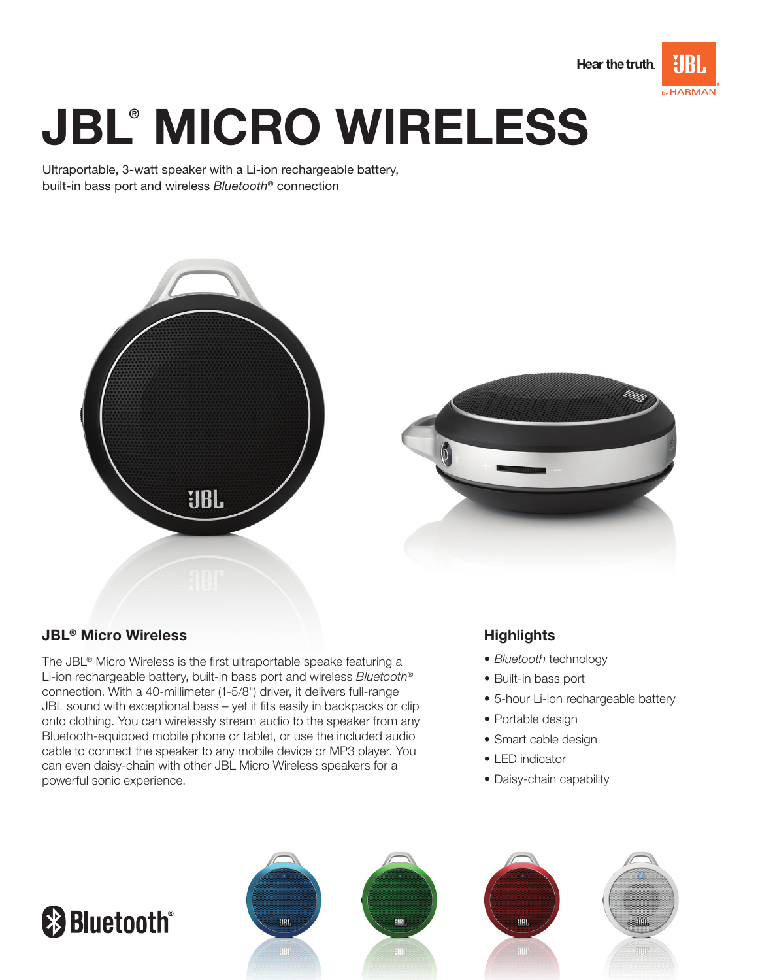

# JBL® MICRO WIReLess

Ultraportable, 3-watt speaker with a Li-ion rechargeable battery, built-in bass port and wireless Bluetooth® connection



# JBL® Micro Wireless

The JBL® Micro Wireless is the first ultraportable speake featuring a Li-ion rechargeable battery, built-in bass port and wireless Bluetooth® connection. With a 40-millimeter (1-5/8") driver, it delivers full-range JBL sound with exceptional bass – yet it fits easily in backpacks or clip onto clothing. You can wirelessly stream audio to the speaker from any Bluetooth-equipped mobile phone or tablet, or use the included audio cable to connect the speaker to any mobile device or MP3 player. You can even daisy-chain with other JBL Micro Wireless speakers for a powerful sonic experience.

# **Highlights**

- Bluetooth technology
- • Built-in bass port
- 5-hour Li-ion rechargeable battery
- Portable design
- Smart cable design
- I FD indicator
- Daisy-chain capability